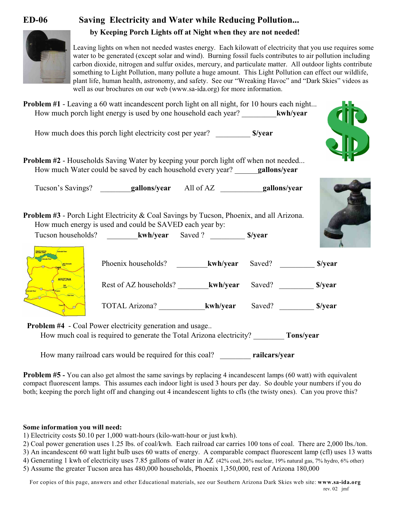



Leaving lights on when not needed wastes energy. Each kilowatt of electricity that you use requires some water to be generated (except solar and wind). Burning fossil fuels contributes to air pollution including carbon dioxide, nitrogen and sulfur oxides, mercury, and particulate matter. All outdoor lights contribute something to Light Pollution, many pollute a huge amount. This Light Pollution can effect our wildlife, plant life, human health, astronomy, and safety. See our "Wreaking Havoc" and "Dark Skies" videos as well as our brochures on our web (www.sa-ida.org) for more information.

|                | <b>Problem #1</b> - Leaving a 60 watt incandescent porch light on all night, for 10 hours each night<br>How much porch light energy is used by one household each year? kwh/year |                |         |
|----------------|----------------------------------------------------------------------------------------------------------------------------------------------------------------------------------|----------------|---------|
|                | How much does this porch light electricity cost per year? ___________ \$/year                                                                                                    |                |         |
|                | <b>Problem #2</b> - Households Saving Water by keeping your porch light off when not needed<br>How much Water could be saved by each household every year? gallons/year          |                |         |
|                |                                                                                                                                                                                  |                |         |
|                | <b>Problem #3</b> - Porch Light Electricity & Coal Savings by Tucson, Phoenix, and all Arizona.<br>How much energy is used and could be SAVED each year by:                      |                |         |
|                |                                                                                                                                                                                  |                |         |
|                | Phoenix households? kwh/year                                                                                                                                                     | Saved?         | \$/year |
| <b>ARIZONA</b> | Rest of AZ households? kwh/year                                                                                                                                                  | Saved? S/year  |         |
|                |                                                                                                                                                                                  | Saved? \$/year |         |

**Problem #4** - Coal Power electricity generation and usage.. How much coal is required to generate the Total Arizona electricity? \_\_\_\_\_\_\_\_ **Tons/year**

How many railroad cars would be required for this coal? \_\_\_\_\_\_\_\_ **railcars/year**

**Problem #5 -** You can also get almost the same savings by replacing 4 incandescent lamps (60 watt) with equivalent compact fluorescent lamps. This assumes each indoor light is used 3 hours per day. So double your numbers if you do both; keeping the porch light off and changing out 4 incandescent lights to cfls (the twisty ones). Can you prove this?

## **Some information you will need:**

1) Electricity costs \$0.10 per 1,000 watt-hours (kilo-watt-hour or just kwh).

2) Coal power generation uses 1.25 lbs. of coal/kwh. Each railroad car carries 100 tons of coal. There are 2,000 lbs./ton.

3) An incandescent 60 watt light bulb uses 60 watts of energy. A comparable compact fluorescent lamp (cfl) uses 13 watts

4) Generating 1 kwh of electricity uses 7.85 gallons of water in AZ (42% coal, 26% nuclear, 19% natural gas, 7% hydro, 6% other)

5) Assume the greater Tucson area has 480,000 households, Phoenix 1,350,000, rest of Arizona 180,000

For copies of this page, answers and other Educational materials, see our Southern Arizona Dark Skies web site: **www.sa-ida.org** rev. 02 jmf